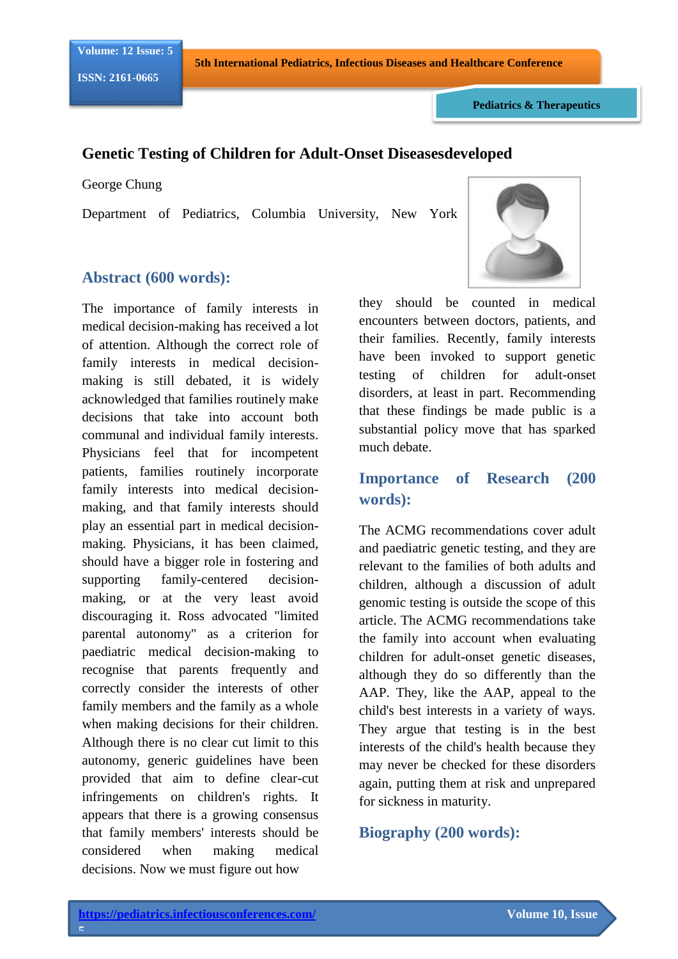**5th International Pediatrics, Infectious Diseases and Healthcare Conference**

**Pediatrics & Therapeutics**

### **Genetic Testing of Children for Adult-Onset Diseasesdeveloped**

George Chung

Department of Pediatrics, Columbia University, New York

### **Abstract (600 words):**

The importance of family interests in medical decision-making has received a lot of attention. Although the correct role of family interests in medical decisionmaking is still debated, it is widely acknowledged that families routinely make decisions that take into account both communal and individual family interests. Physicians feel that for incompetent patients, families routinely incorporate family interests into medical decisionmaking, and that family interests should play an essential part in medical decisionmaking. Physicians, it has been claimed, should have a bigger role in fostering and supporting family-centered decisionmaking, or at the very least avoid discouraging it. Ross advocated "limited parental autonomy" as a criterion for paediatric medical decision-making to recognise that parents frequently and correctly consider the interests of other family members and the family as a whole when making decisions for their children. Although there is no clear cut limit to this autonomy, generic guidelines have been provided that aim to define clear-cut infringements on children's rights. It appears that there is a growing consensus that family members' interests should be considered when making medical decisions. Now we must figure out how



they should be counted in medical encounters between doctors, patients, and their families. Recently, family interests have been invoked to support genetic testing of children for adult-onset disorders, at least in part. Recommending that these findings be made public is a substantial policy move that has sparked much debate.

# **Importance of Research (200 words):**

The ACMG recommendations cover adult and paediatric genetic testing, and they are relevant to the families of both adults and children, although a discussion of adult genomic testing is outside the scope of this article. The ACMG recommendations take the family into account when evaluating children for adult-onset genetic diseases, although they do so differently than the AAP. They, like the AAP, appeal to the child's best interests in a variety of ways. They argue that testing is in the best interests of the child's health because they may never be checked for these disorders again, putting them at risk and unprepared for sickness in maturity.

## **Biography (200 words):**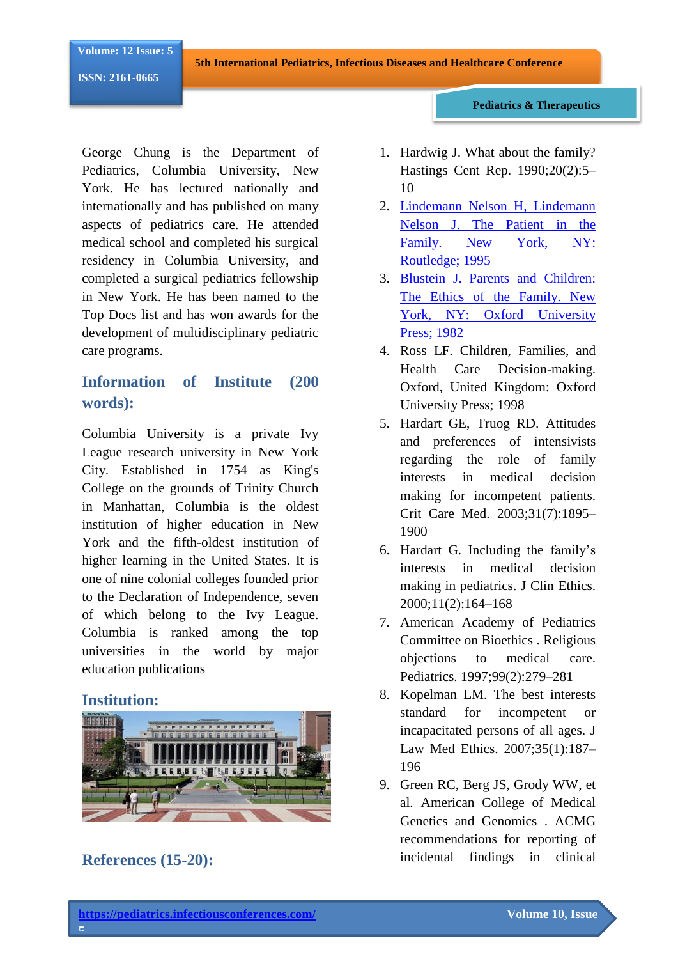**5th International Pediatrics, Infectious Diseases and Healthcare Conference**

**ISSN: 2161-0665**

George Chung is the Department of Pediatrics, Columbia University, New York. He has lectured nationally and internationally and has published on many aspects of pediatrics care. He attended medical school and completed his surgical residency in Columbia University, and completed a surgical pediatrics fellowship in New York. He has been named to the Top Docs list and has won awards for the development of multidisciplinary pediatric care programs.

# **Information of Institute (200 words):**

Columbia University is a private Ivy League research university in New York City. Established in 1754 as King's College on the grounds of Trinity Church in Manhattan, Columbia is the oldest institution of higher education in New York and the fifth-oldest institution of higher learning in the United States. It is one of nine colonial colleges founded prior to the Declaration of Independence, seven of which belong to the Ivy League. Columbia is ranked among the top universities in the world by major education publications

#### **Institution:**



**References (15-20):**

**5**

1. Hardwig J. What about the family? Hastings Cent Rep. 1990;20(2):5– 10

**Pediatrics & Therapeutics**

- 2. [Lindemann Nelson H, Lindemann](https://www.longdom.org/pediatrics-therapeutics/archive.html) [Nelson J. The Patient in the](https://www.longdom.org/pediatrics-therapeutics/archive.html)  Family. New York, NY: [Routledge; 1995](https://www.longdom.org/pediatrics-therapeutics/archive.html)
- 3. [Blustein J. Parents and Children:](https://www.longdom.org/pediatrics-therapeutics.html)  [The Ethics of the Family. New](https://www.longdom.org/pediatrics-therapeutics.html)  [York, NY: Oxford University](https://www.longdom.org/pediatrics-therapeutics.html)  [Press; 1982](https://www.longdom.org/pediatrics-therapeutics.html)
- 4. Ross LF. Children, Families, and Health Care Decision-making. Oxford, United Kingdom: Oxford University Press; 1998
- 5. Hardart GE, Truog RD. Attitudes and preferences of intensivists regarding the role of family interests in medical decision making for incompetent patients. Crit Care Med. 2003;31(7):1895– 1900
- 6. Hardart G. Including the family's interests in medical decision making in pediatrics. J Clin Ethics. 2000;11(2):164–168
- 7. American Academy of Pediatrics Committee on Bioethics . Religious objections to medical care. Pediatrics. 1997;99(2):279–281
- 8. Kopelman LM. The best interests standard for incompetent or incapacitated persons of all ages. J Law Med Ethics. 2007;35(1):187– 196
- 9. Green RC, Berg JS, Grody WW, et al. American College of Medical Genetics and Genomics . ACMG recommendations for reporting of incidental findings in clinical